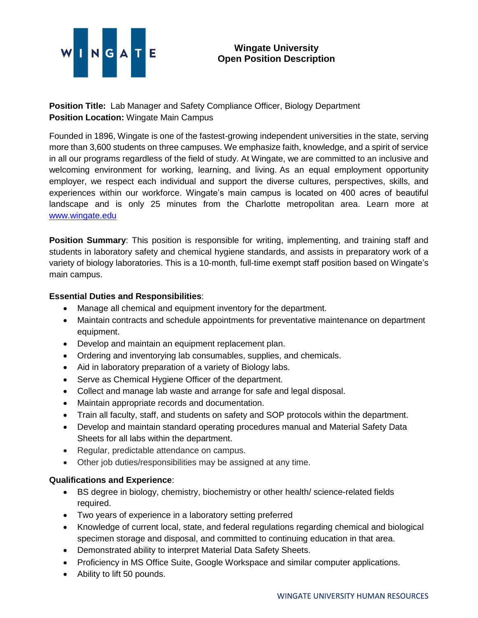

**Position Title:** Lab Manager and Safety Compliance Officer, Biology Department **Position Location:** Wingate Main Campus

Founded in 1896, Wingate is one of the fastest-growing independent universities in the state, serving more than 3,600 students on three campuses. We emphasize faith, knowledge, and a spirit of service in all our programs regardless of the field of study. At Wingate, we are committed to an inclusive and welcoming environment for working, learning, and living. As an equal employment opportunity employer, we respect each individual and support the diverse cultures, perspectives, skills, and experiences within our workforce. Wingate's main campus is located on 400 acres of beautiful landscape and is only 25 minutes from the Charlotte metropolitan area. Learn more at [www.wingate.edu](http://www.wingate/edu)

**Position Summary**: This position is responsible for writing, implementing, and training staff and students in laboratory safety and chemical hygiene standards, and assists in preparatory work of a variety of biology laboratories. This is a 10-month, full-time exempt staff position based on Wingate's main campus.

## **Essential Duties and Responsibilities**:

- Manage all chemical and equipment inventory for the department.
- Maintain contracts and schedule appointments for preventative maintenance on department equipment.
- Develop and maintain an equipment replacement plan.
- Ordering and inventorying lab consumables, supplies, and chemicals.
- Aid in laboratory preparation of a variety of Biology labs.
- Serve as Chemical Hygiene Officer of the department.
- Collect and manage lab waste and arrange for safe and legal disposal.
- Maintain appropriate records and documentation.
- Train all faculty, staff, and students on safety and SOP protocols within the department.
- Develop and maintain standard operating procedures manual and Material Safety Data Sheets for all labs within the department.
- Regular, predictable attendance on campus.
- Other job duties/responsibilities may be assigned at any time.

## **Qualifications and Experience**:

- BS degree in biology, chemistry, biochemistry or other health/ science-related fields required.
- Two years of experience in a laboratory setting preferred
- Knowledge of current local, state, and federal regulations regarding chemical and biological specimen storage and disposal, and committed to continuing education in that area.
- Demonstrated ability to interpret Material Data Safety Sheets.
- Proficiency in MS Office Suite, Google Workspace and similar computer applications.
- Ability to lift 50 pounds.